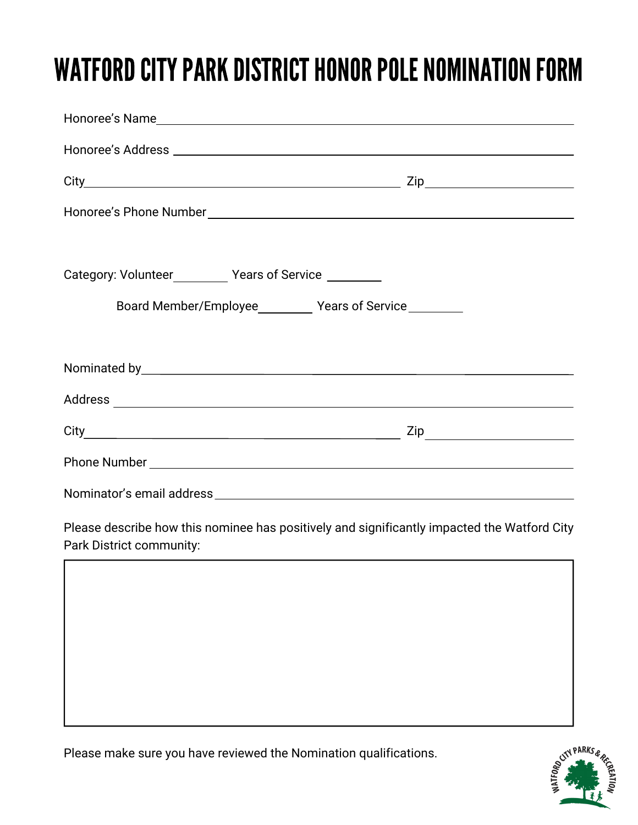## WATFORD CITY PARK DISTRICT HONOR POLE NOMINATION FORM

| Category: Volunteer____________ Years of Service __________ |              |
|-------------------------------------------------------------|--------------|
| Board Member/Employee___________ Years of Service__________ |              |
|                                                             |              |
|                                                             |              |
|                                                             |              |
|                                                             | $City$ $Zip$ |
|                                                             |              |
|                                                             |              |

Please describe how this nominee has positively and significantly impacted the Watford City Park District community:



Please make sure you have reviewed the Nomination qualifications.